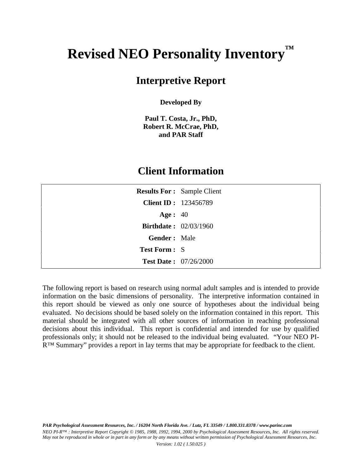# **Revised NEO Personality Inventory**

### **Interpretive Report**

**Developed By** 

**Paul T. Costa, Jr., PhD, Robert R. McCrae, PhD, and PAR Staff** 

### **Client Information**

|                              | <b>Results For: Sample Client</b> |
|------------------------------|-----------------------------------|
| <b>Client ID: 123456789</b>  |                                   |
| Age: $40$                    |                                   |
| <b>Birthdate: 02/03/1960</b> |                                   |
| <b>Gender:</b> Male          |                                   |
| <b>Test Form: S</b>          |                                   |
| <b>Test Date: 07/26/2000</b> |                                   |
|                              |                                   |

The following report is based on research using normal adult samples and is intended to provide information on the basic dimensions of personality. The interpretive information contained in this report should be viewed as only one source of hypotheses about the individual being evaluated. No decisions should be based solely on the information contained in this report. This material should be integrated with all other sources of information in reaching professional decisions about this individual. This report is confidential and intended for use by qualified professionals only; it should not be released to the individual being evaluated. "Your NEO PI-R™ Summary" provides a report in lay terms that may be appropriate for feedback to the client.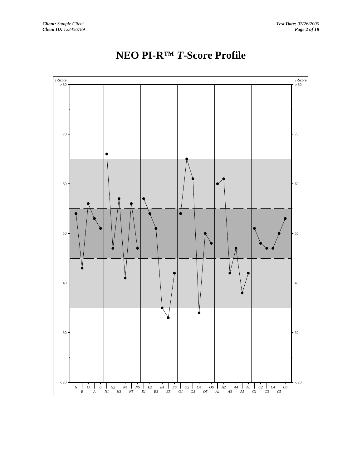

## **NEO PI-R™** *T***-Score Profile**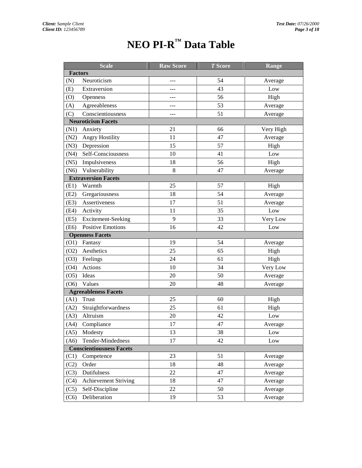# **NEO PI-R™ Data Table**

|                                 | <b>Scale</b>                | <b>Raw Score</b> | T Score | Range     |  |
|---------------------------------|-----------------------------|------------------|---------|-----------|--|
| <b>Factors</b>                  |                             |                  |         |           |  |
| (N)                             | Neuroticism                 | $---$            | 54      | Average   |  |
| (E)                             | Extraversion                |                  | 43      | Low       |  |
| (0)                             | Openness                    |                  | 56      | High      |  |
| (A)                             | Agreeableness               | ---              | 53      | Average   |  |
| (C)                             | Conscientiousness           | ---              | 51      | Average   |  |
| <b>Neuroticism Facets</b>       |                             |                  |         |           |  |
| (N1)                            | Anxiety                     | 21               | 66      | Very High |  |
| (N2)                            | <b>Angry Hostility</b>      | 11               | 47      | Average   |  |
| (N3)                            | Depression                  | 15               | 57      | High      |  |
| (N4)                            | Self-Consciousness          | 10               | 41      | Low       |  |
| (N5)                            | Impulsiveness               | 18               | 56      | High      |  |
| (N6)                            | Vulnerability               | 8                | 47      | Average   |  |
| <b>Extraversion Facets</b>      |                             |                  |         |           |  |
| (E1)                            | Warmth                      | 25               | 57      | High      |  |
| (E2)                            | Gregariousness              | 18               | 54      | Average   |  |
| (E3)                            | Assertiveness               | 17               | 51      | Average   |  |
| (E4)                            | Activity                    | 11               | 35      | Low       |  |
| (E5)                            | Excitement-Seeking          | 9                | 33      | Very Low  |  |
| (E6)                            | <b>Positive Emotions</b>    | 16               | 42      | Low       |  |
| <b>Openness Facets</b>          |                             |                  |         |           |  |
| (01)                            | Fantasy                     | 19               | 54      | Average   |  |
| (O2)                            | Aesthetics                  | 25               | 65      | High      |  |
| (O3)                            | Feelings                    | 24               | 61      | High      |  |
| (04)                            | Actions                     | 10               | 34      | Very Low  |  |
| (O5)                            | Ideas                       | 20               | 50      | Average   |  |
| (06)                            | Values                      | 20               | 48      | Average   |  |
| <b>Agreeableness Facets</b>     |                             |                  |         |           |  |
| (A1)                            | Trust                       | 25               | 60      | High      |  |
| (A2)                            | Straightforwardness         | 25               | 61      | High      |  |
| (A3)                            | Altruism                    | 20               | 42      | Low       |  |
| (A4)                            | Compliance                  | 17               | 47      | Average   |  |
| (A5)                            | Modesty                     | 13               | 38      | Low       |  |
| (A6)                            | Tender-Mindedness           | 17               | 42      | Low       |  |
| <b>Conscientiousness Facets</b> |                             |                  |         |           |  |
| (C1)                            | Competence                  | 23               | 51      | Average   |  |
| (C2)                            | Order                       | 18               | 48      | Average   |  |
| (C3)                            | Dutifulness                 | 22               | 47      | Average   |  |
| (C4)                            | <b>Achievement Striving</b> | 18               | 47      | Average   |  |
| (C5)                            | Self-Discipline             | 22               | 50      | Average   |  |
| (C6)                            | Deliberation                | 19               | 53      | Average   |  |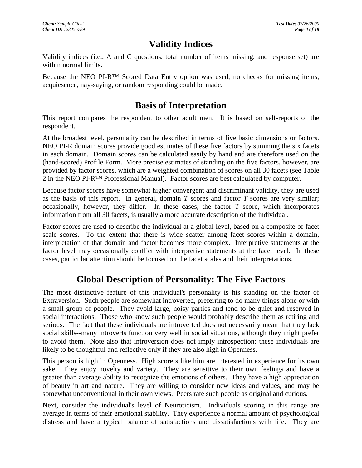### **Validity Indices**

Validity indices (i.e., A and C questions, total number of items missing, and response set) are within normal limits.

Because the NEO PI-R<sup>™</sup> Scored Data Entry option was used, no checks for missing items, acquiesence, nay-saying, or random responding could be made.

### **Basis of Interpretation**

This report compares the respondent to other adult men. It is based on self-reports of the respondent.

At the broadest level, personality can be described in terms of five basic dimensions or factors. NEO PI-R domain scores provide good estimates of these five factors by summing the six facets in each domain. Domain scores can be calculated easily by hand and are therefore used on the (hand-scored) Profile Form. More precise estimates of standing on the five factors, however, are provided by factor scores, which are a weighted combination of scores on all 30 facets (see Table 2 in the NEO PI-R™ Professional Manual). Factor scores are best calculated by computer.

Because factor scores have somewhat higher convergent and discriminant validity, they are used as the basis of this report. In general, domain *T* scores and factor *T* scores are very similar; occasionally, however, they differ. In these cases, the factor *T* score, which incorporates information from all 30 facets, is usually a more accurate description of the individual.

Factor scores are used to describe the individual at a global level, based on a composite of facet scale scores. To the extent that there is wide scatter among facet scores within a domain, interpretation of that domain and factor becomes more complex. Interpretive statements at the factor level may occasionally conflict with interpretive statements at the facet level. In these cases, particular attention should be focused on the facet scales and their interpretations.

### **Global Description of Personality: The Five Factors**

The most distinctive feature of this individual's personality is his standing on the factor of Extraversion. Such people are somewhat introverted, preferring to do many things alone or with a small group of people. They avoid large, noisy parties and tend to be quiet and reserved in social interactions. Those who know such people would probably describe them as retiring and serious. The fact that these individuals are introverted does not necessarily mean that they lack social skills--many introverts function very well in social situations, although they might prefer to avoid them. Note also that introversion does not imply introspection; these individuals are likely to be thoughtful and reflective only if they are also high in Openness.

This person is high in Openness. High scorers like him are interested in experience for its own sake. They enjoy novelty and variety. They are sensitive to their own feelings and have a greater than average ability to recognize the emotions of others. They have a high appreciation of beauty in art and nature. They are willing to consider new ideas and values, and may be somewhat unconventional in their own views. Peers rate such people as original and curious.

Next, consider the individual's level of Neuroticism. Individuals scoring in this range are average in terms of their emotional stability. They experience a normal amount of psychological distress and have a typical balance of satisfactions and dissatisfactions with life. They are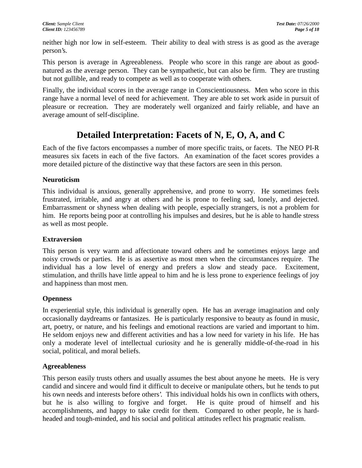neither high nor low in self-esteem. Their ability to deal with stress is as good as the average person's.

This person is average in Agreeableness. People who score in this range are about as goodnatured as the average person. They can be sympathetic, but can also be firm. They are trusting but not gullible, and ready to compete as well as to cooperate with others.

Finally, the individual scores in the average range in Conscientiousness. Men who score in this range have a normal level of need for achievement. They are able to set work aside in pursuit of pleasure or recreation. They are moderately well organized and fairly reliable, and have an average amount of self-discipline.

### **Detailed Interpretation: Facets of N, E, O, A, and C**

Each of the five factors encompasses a number of more specific traits, or facets. The NEO PI-R measures six facets in each of the five factors. An examination of the facet scores provides a more detailed picture of the distinctive way that these factors are seen in this person.

### **Neuroticism**

This individual is anxious, generally apprehensive, and prone to worry. He sometimes feels frustrated, irritable, and angry at others and he is prone to feeling sad, lonely, and dejected. Embarrassment or shyness when dealing with people, especially strangers, is not a problem for him. He reports being poor at controlling his impulses and desires, but he is able to handle stress as well as most people.

### **Extraversion**

This person is very warm and affectionate toward others and he sometimes enjoys large and noisy crowds or parties. He is as assertive as most men when the circumstances require. The individual has a low level of energy and prefers a slow and steady pace. Excitement, stimulation, and thrills have little appeal to him and he is less prone to experience feelings of joy and happiness than most men.

### **Openness**

In experiential style, this individual is generally open. He has an average imagination and only occasionally daydreams or fantasizes. He is particularly responsive to beauty as found in music, art, poetry, or nature, and his feelings and emotional reactions are varied and important to him. He seldom enjoys new and different activities and has a low need for variety in his life. He has only a moderate level of intellectual curiosity and he is generally middle-of-the-road in his social, political, and moral beliefs.

### **Agreeableness**

This person easily trusts others and usually assumes the best about anyone he meets. He is very candid and sincere and would find it difficult to deceive or manipulate others, but he tends to put his own needs and interests before others'. This individual holds his own in conflicts with others, but he is also willing to forgive and forget. He is quite proud of himself and his accomplishments, and happy to take credit for them. Compared to other people, he is hardheaded and tough-minded, and his social and political attitudes reflect his pragmatic realism.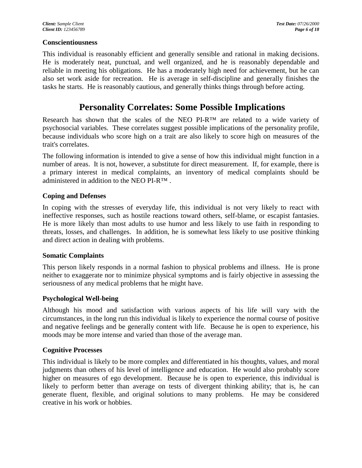#### **Conscientiousness**

This individual is reasonably efficient and generally sensible and rational in making decisions. He is moderately neat, punctual, and well organized, and he is reasonably dependable and reliable in meeting his obligations. He has a moderately high need for achievement, but he can also set work aside for recreation. He is average in self-discipline and generally finishes the tasks he starts. He is reasonably cautious, and generally thinks things through before acting.

### **Personality Correlates: Some Possible Implications**

Research has shown that the scales of the NEO PI-R™ are related to a wide variety of psychosocial variables. These correlates suggest possible implications of the personality profile, because individuals who score high on a trait are also likely to score high on measures of the trait's correlates.

The following information is intended to give a sense of how this individual might function in a number of areas. It is not, however, a substitute for direct measurement. If, for example, there is a primary interest in medical complaints, an inventory of medical complaints should be administered in addition to the NEO PI-R™ .

#### **Coping and Defenses**

In coping with the stresses of everyday life, this individual is not very likely to react with ineffective responses, such as hostile reactions toward others, self-blame, or escapist fantasies. He is more likely than most adults to use humor and less likely to use faith in responding to threats, losses, and challenges. In addition, he is somewhat less likely to use positive thinking and direct action in dealing with problems.

#### **Somatic Complaints**

This person likely responds in a normal fashion to physical problems and illness. He is prone neither to exaggerate nor to minimize physical symptoms and is fairly objective in assessing the seriousness of any medical problems that he might have.

#### **Psychological Well-being**

Although his mood and satisfaction with various aspects of his life will vary with the circumstances, in the long run this individual is likely to experience the normal course of positive and negative feelings and be generally content with life. Because he is open to experience, his moods may be more intense and varied than those of the average man.

#### **Cognitive Processes**

This individual is likely to be more complex and differentiated in his thoughts, values, and moral judgments than others of his level of intelligence and education. He would also probably score higher on measures of ego development. Because he is open to experience, this individual is likely to perform better than average on tests of divergent thinking ability; that is, he can generate fluent, flexible, and original solutions to many problems. He may be considered creative in his work or hobbies.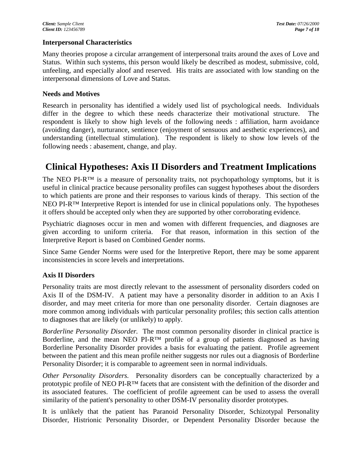#### **Interpersonal Characteristics**

Many theories propose a circular arrangement of interpersonal traits around the axes of Love and Status. Within such systems, this person would likely be described as modest, submissive, cold, unfeeling, and especially aloof and reserved. His traits are associated with low standing on the interpersonal dimensions of Love and Status.

#### **Needs and Motives**

Research in personality has identified a widely used list of psychological needs. Individuals differ in the degree to which these needs characterize their motivational structure. respondent is likely to show high levels of the following needs : affiliation, harm avoidance (avoiding danger), nurturance, sentience (enjoyment of sensuous and aesthetic experiences), and understanding (intellectual stimulation). The respondent is likely to show low levels of the following needs : abasement, change, and play.

### **Clinical Hypotheses: Axis II Disorders and Treatment Implications**

The NEO PI-R™ is a measure of personality traits, not psychopathology symptoms, but it is useful in clinical practice because personality profiles can suggest hypotheses about the disorders to which patients are prone and their responses to various kinds of therapy. This section of the NEO PI-R<sup>™</sup> Interpretive Report is intended for use in clinical populations only. The hypotheses it offers should be accepted only when they are supported by other corroborating evidence.

Psychiatric diagnoses occur in men and women with different frequencies, and diagnoses are given according to uniform criteria. For that reason, information in this section of the Interpretive Report is based on Combined Gender norms.

Since Same Gender Norms were used for the Interpretive Report, there may be some apparent inconsistencies in score levels and interpretations.

### **Axis II Disorders**

Personality traits are most directly relevant to the assessment of personality disorders coded on Axis II of the DSM-IV. A patient may have a personality disorder in addition to an Axis I disorder, and may meet criteria for more than one personality disorder. Certain diagnoses are more common among individuals with particular personality profiles; this section calls attention to diagnoses that are likely (or unlikely) to apply.

*Borderline Personality Disorder.* The most common personality disorder in clinical practice is Borderline, and the mean NEO PI-R™ profile of a group of patients diagnosed as having Borderline Personality Disorder provides a basis for evaluating the patient. Profile agreement between the patient and this mean profile neither suggests nor rules out a diagnosis of Borderline Personality Disorder; it is comparable to agreement seen in normal individuals.

*Other Personality Disorders.* Personality disorders can be conceptually characterized by a prototypic profile of NEO PI-R™ facets that are consistent with the definition of the disorder and its associated features. The coefficient of profile agreement can be used to assess the overall similarity of the patient's personality to other DSM-IV personality disorder prototypes.

It is unlikely that the patient has Paranoid Personality Disorder, Schizotypal Personality Disorder, Histrionic Personality Disorder, or Dependent Personality Disorder because the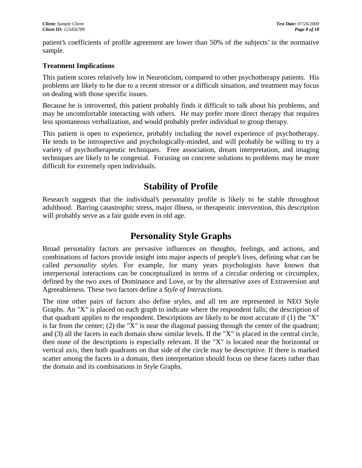patient's coefficients of profile agreement are lower than 50% of the subjects' in the normative sample.

#### **Treatment Implications**

This patient scores relatively low in Neuroticism, compared to other psychotherapy patients. His problems are likely to be due to a recent stressor or a difficult situation, and treatment may focus on dealing with those specific issues.

Because he is introverted, this patient probably finds it difficult to talk about his problems, and may be uncomfortable interacting with others. He may prefer more direct therapy that requires less spontaneous verbalization, and would probably prefer individual to group therapy.

This patient is open to experience, probably including the novel experience of psychotherapy. He tends to be introspective and psychologically-minded, and will probably be willing to try a variety of psychotherapeutic techniques. Free association, dream interpretation, and imaging techniques are likely to be congenial. Focusing on concrete solutions to problems may be more difficult for extremely open individuals.

### **Stability of Profile**

Research suggests that the individual's personality profile is likely to be stable throughout adulthood. Barring catastrophic stress, major illness, or therapeutic intervention, this description will probably serve as a fair guide even in old age.

### **Personality Style Graphs**

Broad personality factors are pervasive influences on thoughts, feelings, and actions, and combinations of factors provide insight into major aspects of people's lives, defining what can be called *personality styles*. For example, for many years psychologists have known that interpersonal interactions can be conceptualized in terms of a circular ordering or circumplex, defined by the two axes of Dominance and Love, or by the alternative axes of Extraversion and Agreeableness. These two factors define a *Style of Interactions.* 

The nine other pairs of factors also define styles, and all ten are represented in NEO Style Graphs. An "X" is placed on each graph to indicate where the respondent falls; the description of that quadrant applies to the respondent. Descriptions are likely to be most accurate if (1) the "X" is far from the center; (2) the "X" is near the diagonal passing through the center of the quadrant; and (3) all the facets in each domain show similar levels. If the "X" is placed in the central circle, then none of the descriptions is especially relevant. If the "X" is located near the horizontal or vertical axis, then both quadrants on that side of the circle may be descriptive. If there is marked scatter among the facets in a domain, then interpretation should focus on these facets rather than the domain and its combinations in Style Graphs.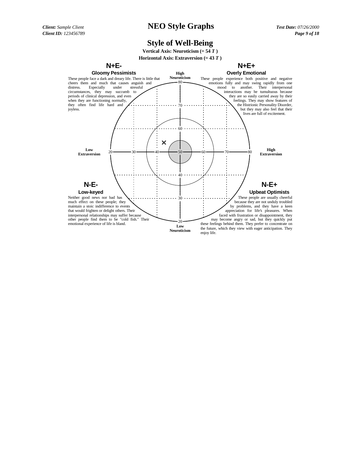### **Style of Well-Being**

**Vertical Axis: Neuroticism (= 54** *T* **)**



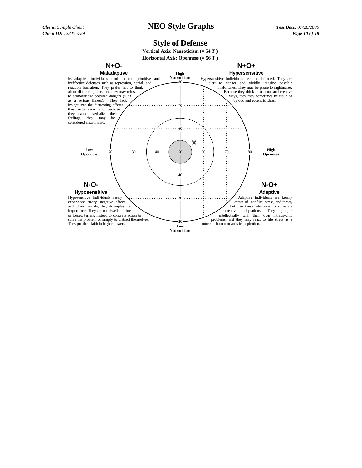### **Style of Defense**

**Vertical Axis: Neuroticism (= 54** *T* **)**



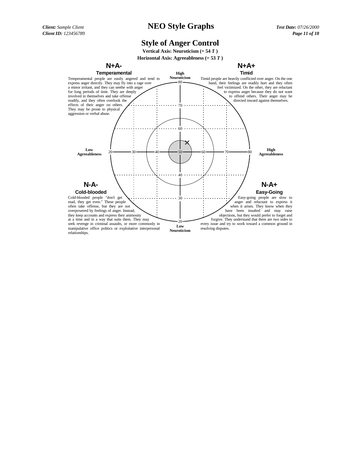### **Style of Anger Control**

**Vertical Axis: Neuroticism (= 54** *T* **)**



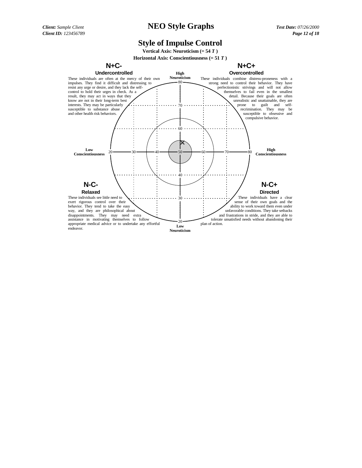## *Client: Sample Client Client* **NEO Style Graphs** *Test Date:* 07/26/2000 *Client* **ID:** 123456789 *Page 12 of 18*

### **Style of Impulse Control**

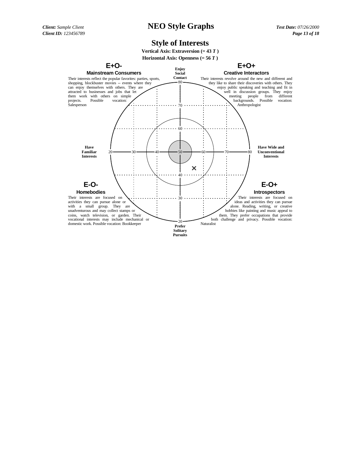### **Style of Interests**

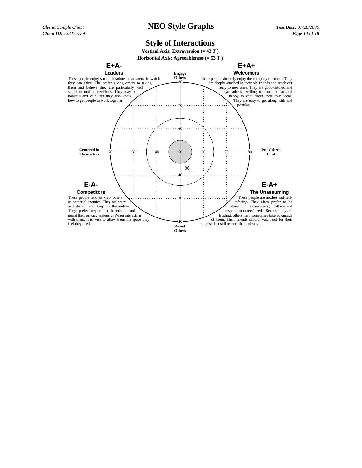### **Style of Interactions**

**Vertical Axis: Extraversion (= 43** *T* **)**



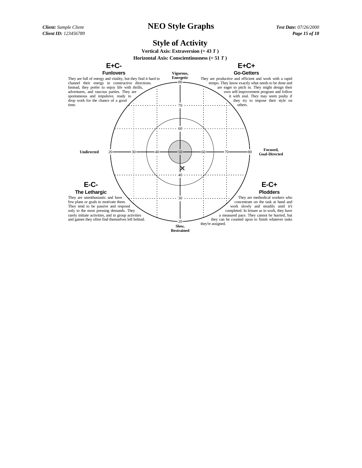### **Style of Activity**

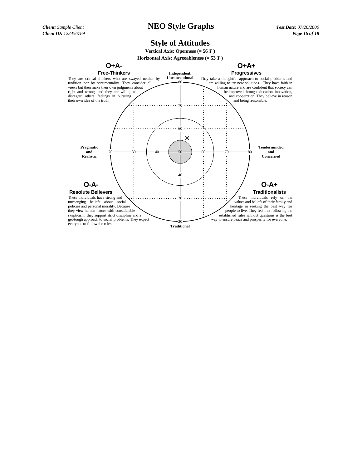## *Client: Sample Client NEO Style Graphs Test Date:* 07/26/2000 *Client ID:* 123456789 *Page 16 of 18*

### **Style of Attitudes**

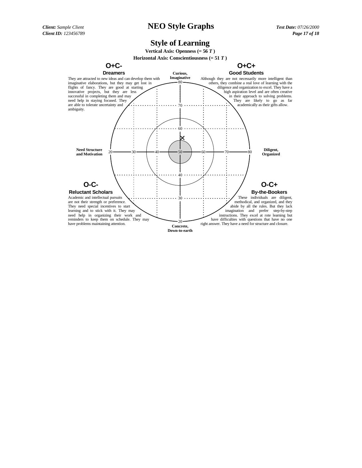## *Client: Sample Client Client* **NEO Style Graphs** *Test Date:* 07/26/2000 *Client* **ID:** 123456789 *Page 17 of 18*

### **Style of Learning**